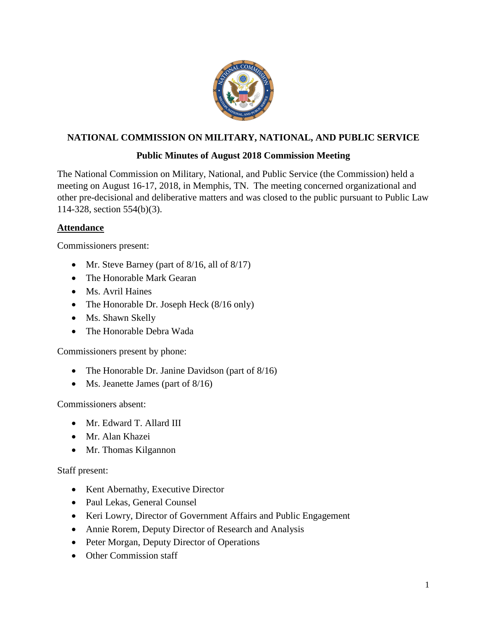

# **NATIONAL COMMISSION ON MILITARY, NATIONAL, AND PUBLIC SERVICE**

# **Public Minutes of August 2018 Commission Meeting**

The National Commission on Military, National, and Public Service (the Commission) held a meeting on August 16-17, 2018, in Memphis, TN. The meeting concerned organizational and other pre-decisional and deliberative matters and was closed to the public pursuant to Public Law 114-328, section 554(b)(3).

## **Attendance**

Commissioners present:

- Mr. Steve Barney (part of 8/16, all of 8/17)
- The Honorable Mark Gearan
- Ms. Avril Haines
- The Honorable Dr. Joseph Heck (8/16 only)
- Ms. Shawn Skelly
- The Honorable Debra Wada

Commissioners present by phone:

- The Honorable Dr. Janine Davidson (part of 8/16)
- Ms. Jeanette James (part of 8/16)

Commissioners absent:

- Mr. Edward T. Allard III
- Mr. Alan Khazei
- Mr. Thomas Kilgannon

#### Staff present:

- Kent Abernathy, Executive Director
- Paul Lekas, General Counsel
- Keri Lowry, Director of Government Affairs and Public Engagement
- Annie Rorem, Deputy Director of Research and Analysis
- Peter Morgan, Deputy Director of Operations
- Other Commission staff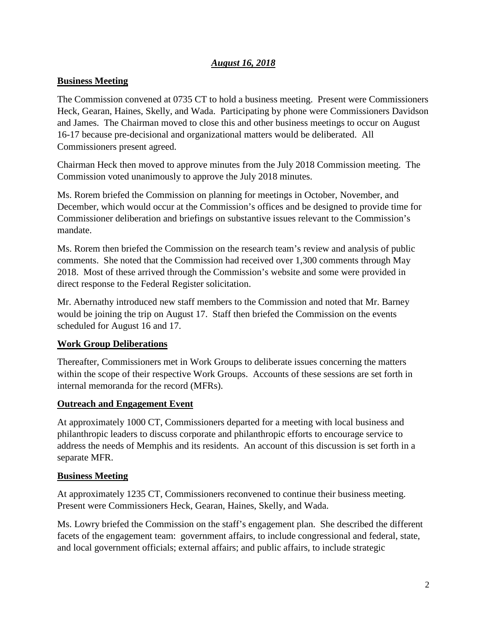### *August 16, 2018*

## **Business Meeting**

The Commission convened at 0735 CT to hold a business meeting. Present were Commissioners Heck, Gearan, Haines, Skelly, and Wada. Participating by phone were Commissioners Davidson and James. The Chairman moved to close this and other business meetings to occur on August 16-17 because pre-decisional and organizational matters would be deliberated. All Commissioners present agreed.

Chairman Heck then moved to approve minutes from the July 2018 Commission meeting. The Commission voted unanimously to approve the July 2018 minutes.

Ms. Rorem briefed the Commission on planning for meetings in October, November, and December, which would occur at the Commission's offices and be designed to provide time for Commissioner deliberation and briefings on substantive issues relevant to the Commission's mandate.

Ms. Rorem then briefed the Commission on the research team's review and analysis of public comments. She noted that the Commission had received over 1,300 comments through May 2018. Most of these arrived through the Commission's website and some were provided in direct response to the Federal Register solicitation.

Mr. Abernathy introduced new staff members to the Commission and noted that Mr. Barney would be joining the trip on August 17. Staff then briefed the Commission on the events scheduled for August 16 and 17.

# **Work Group Deliberations**

Thereafter, Commissioners met in Work Groups to deliberate issues concerning the matters within the scope of their respective Work Groups. Accounts of these sessions are set forth in internal memoranda for the record (MFRs).

#### **Outreach and Engagement Event**

At approximately 1000 CT, Commissioners departed for a meeting with local business and philanthropic leaders to discuss corporate and philanthropic efforts to encourage service to address the needs of Memphis and its residents. An account of this discussion is set forth in a separate MFR.

# **Business Meeting**

At approximately 1235 CT, Commissioners reconvened to continue their business meeting. Present were Commissioners Heck, Gearan, Haines, Skelly, and Wada.

Ms. Lowry briefed the Commission on the staff's engagement plan. She described the different facets of the engagement team: government affairs, to include congressional and federal, state, and local government officials; external affairs; and public affairs, to include strategic